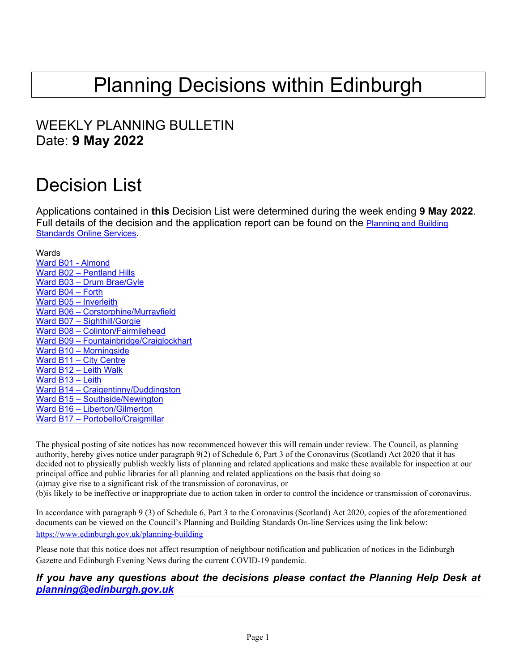# Planning Decisions within Edinburgh

# WEEKLY PLANNING BULLETIN Date: **9 May 2022**

# Decision List

Applications contained in **this** Decision List were determined during the week ending **9 May 2022**. Full details of the decision and the application report can be found on the [Planning and Building](https://citydev-portal.edinburgh.gov.uk/idoxpa-web/search.do?action=simple&searchType=Application)  [Standards Online Services.](https://citydev-portal.edinburgh.gov.uk/idoxpa-web/search.do?action=simple&searchType=Application)

<span id="page-0-0"></span>**Wards** 

[Ward B01](#page-1-0) - [Almond](#page-1-0) [Ward B02](#page-2-0) – [Pentland Hills](#page-2-0) [Ward B03](#page-3-0) – [Drum Brae/Gyle](#page-3-0) [Ward B04](#page-3-1) – [Forth](#page-3-1) [Ward B05](#page-4-0) – [Inverleith](#page-4-0) [Ward B06](#page-6-0) – [Corstorphine/Murrayfield](#page-6-0) [Ward B07](#page-7-0) – [Sighthill/Gorgie](#page-7-0) [Ward B08](#page-8-0) – [Colinton/Fairmilehead](#page-8-0) [Ward B09](#page-9-0) – [Fountainbridge/Craiglockhart](#page-9-0) [Ward B10 –](#page-10-0) [Morningside](#page-10-0) [Ward B11](#page-12-0) – [City Centre](#page-12-0) [Ward B12](#page-15-0) – [Leith Walk](#page-15-0) [Ward B13](#page-16-0) – [Leith](#page-16-0) [Ward B14 –](#page-16-1) [Craigentinny/Duddingston](#page-16-1) [Ward B15 –](#page-17-0) [Southside/Newington](#page-17-0) [Ward B16 –](#page-18-0) [Liberton/Gilmerton](#page-18-0) Ward B17 - [Portobello/Craigmillar](#page-18-1)

The physical posting of site notices has now recommenced however this will remain under review. The Council, as planning authority, hereby gives notice under paragraph 9(2) of Schedule 6, Part 3 of the Coronavirus (Scotland) Act 2020 that it has decided not to physically publish weekly lists of planning and related applications and make these available for inspection at our principal office and public libraries for all planning and related applications on the basis that doing so (a)may give rise to a significant risk of the transmission of coronavirus, or (b)is likely to be ineffective or inappropriate due to action taken in order to control the incidence or transmission of coronavirus.

In accordance with paragraph 9 (3) of Schedule 6, Part 3 to the Coronavirus (Scotland) Act 2020, copies of the aforementioned documents can be viewed on the Council's Planning and Building Standards On-line Services using the link below: <https://www.edinburgh.gov.uk/planning-building>

Please note that this notice does not affect resumption of neighbour notification and publication of notices in the Edinburgh Gazette and Edinburgh Evening News during the current COVID-19 pandemic.

### *If you have any questions about the decisions please contact the Planning Help Desk at [planning@edinburgh.gov.uk](mailto:planning@edinburgh.gov.uk)*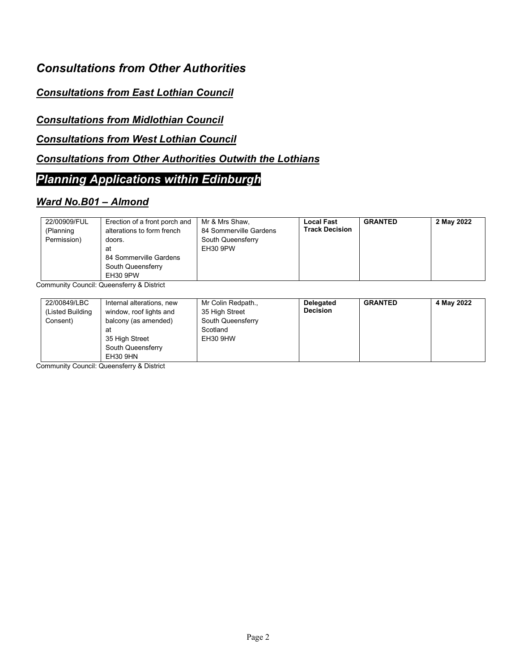# *Consultations from Other Authorities*

# *Consultations from East Lothian Council*

# *Consultations from Midlothian Council*

### *Consultations from West Lothian Council*

# *Consultations from Other Authorities Outwith the Lothians*

# *Planning Applications within Edinburgh*

# <span id="page-1-0"></span>*Ward No.B01 – Almond*

| 22/00909/FUL<br>(Planning<br>Permission) | Erection of a front porch and<br>alterations to form french<br>doors.<br>at<br>84 Sommerville Gardens<br>South Queensferry<br>EH30 9PW | Mr & Mrs Shaw,<br>84 Sommerville Gardens<br>South Queensferry<br>EH30 9PW | <b>Local Fast</b><br><b>Track Decision</b> | <b>GRANTED</b> | 2 May 2022 |
|------------------------------------------|----------------------------------------------------------------------------------------------------------------------------------------|---------------------------------------------------------------------------|--------------------------------------------|----------------|------------|
|------------------------------------------|----------------------------------------------------------------------------------------------------------------------------------------|---------------------------------------------------------------------------|--------------------------------------------|----------------|------------|

Community Council: Queensferry & District

| South Queensferry<br>EH30 9HN |  | 22/00849/LBC<br>(Listed Building<br>Consent) | Internal alterations, new<br>window, roof lights and<br>balcony (as amended)<br>at<br>35 High Street | Mr Colin Redpath.,<br>35 High Street<br>South Queensferry<br>Scotland<br>EH30 9HW | Delegated<br><b>Decision</b> | <b>GRANTED</b> | 4 May 2022 |
|-------------------------------|--|----------------------------------------------|------------------------------------------------------------------------------------------------------|-----------------------------------------------------------------------------------|------------------------------|----------------|------------|
|-------------------------------|--|----------------------------------------------|------------------------------------------------------------------------------------------------------|-----------------------------------------------------------------------------------|------------------------------|----------------|------------|

Community Council: Queensferry & District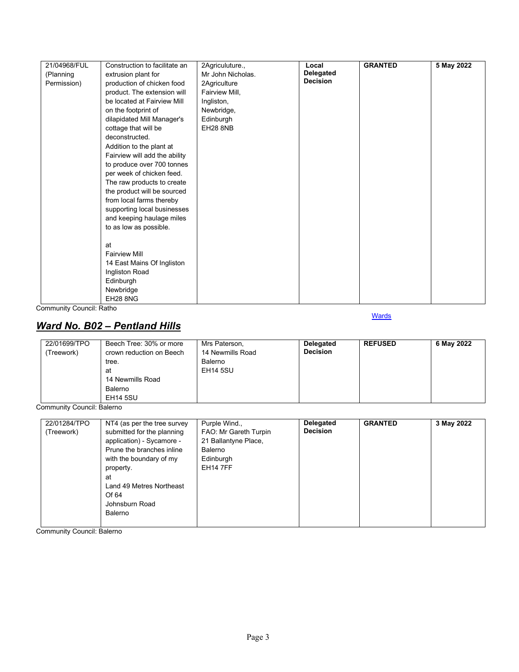| 21/04968/FUL | Construction to facilitate an                           | 2Agriculuture.,   | Local           | <b>GRANTED</b> | 5 May 2022 |
|--------------|---------------------------------------------------------|-------------------|-----------------|----------------|------------|
| (Planning    | extrusion plant for                                     | Mr John Nicholas. | Delegated       |                |            |
| Permission)  | production of chicken food                              | 2Agriculture      | <b>Decision</b> |                |            |
|              | product. The extension will                             | Fairview Mill.    |                 |                |            |
|              | be located at Fairview Mill                             | Ingliston,        |                 |                |            |
|              | on the footprint of                                     | Newbridge,        |                 |                |            |
|              | dilapidated Mill Manager's                              | Edinburgh         |                 |                |            |
|              | cottage that will be                                    | <b>EH28 8NB</b>   |                 |                |            |
|              | deconstructed.                                          |                   |                 |                |            |
|              | Addition to the plant at                                |                   |                 |                |            |
|              | Fairview will add the ability                           |                   |                 |                |            |
|              | to produce over 700 tonnes                              |                   |                 |                |            |
|              | per week of chicken feed.                               |                   |                 |                |            |
|              | The raw products to create                              |                   |                 |                |            |
|              | the product will be sourced                             |                   |                 |                |            |
|              |                                                         |                   |                 |                |            |
|              | from local farms thereby<br>supporting local businesses |                   |                 |                |            |
|              |                                                         |                   |                 |                |            |
|              | and keeping haulage miles<br>to as low as possible.     |                   |                 |                |            |
|              |                                                         |                   |                 |                |            |
|              | at                                                      |                   |                 |                |            |
|              | <b>Fairview Mill</b>                                    |                   |                 |                |            |
|              | 14 East Mains Of Ingliston                              |                   |                 |                |            |
|              | Ingliston Road                                          |                   |                 |                |            |
|              | Edinburgh                                               |                   |                 |                |            |
|              | Newbridge                                               |                   |                 |                |            |
|              | <b>EH28 8NG</b>                                         |                   |                 |                |            |
|              |                                                         |                   |                 |                |            |

Community Council: Ratho

# <span id="page-2-0"></span>*Ward No. B02 – Pentland Hills*

### **[Wards](#page-0-0)**

| 22/01699/TPO | Beech Tree: 30% or more  | Mrs Paterson,    | Delegated       | <b>REFUSED</b> | 6 May 2022 |
|--------------|--------------------------|------------------|-----------------|----------------|------------|
| Treework)    | crown reduction on Beech | 14 Newmills Road | <b>Decision</b> |                |            |
|              | tree.                    | Balerno          |                 |                |            |
|              | at                       | <b>EH14 5SU</b>  |                 |                |            |
|              | 14 Newmills Road         |                  |                 |                |            |
|              | Balerno                  |                  |                 |                |            |
|              | <b>EH14 5SU</b>          |                  |                 |                |            |

Community Council: Balerno

| 22/01284/TPO | NT4 (as per the tree survey                             | Purple Wind.,                                 | Delegated       | <b>GRANTED</b> | 3 May 2022 |
|--------------|---------------------------------------------------------|-----------------------------------------------|-----------------|----------------|------------|
| (Treework)   | submitted for the planning<br>application) - Sycamore - | FAO: Mr Gareth Turpin<br>21 Ballantyne Place, | <b>Decision</b> |                |            |
|              | Prune the branches inline                               | Balerno                                       |                 |                |            |
|              | with the boundary of my                                 | Edinburgh                                     |                 |                |            |
|              | property.                                               | <b>EH14 7FF</b>                               |                 |                |            |
|              | at                                                      |                                               |                 |                |            |
|              | Land 49 Metres Northeast                                |                                               |                 |                |            |
|              | Of 64                                                   |                                               |                 |                |            |
|              | Johnsburn Road                                          |                                               |                 |                |            |
|              | Balerno                                                 |                                               |                 |                |            |
|              |                                                         |                                               |                 |                |            |

Community Council: Balerno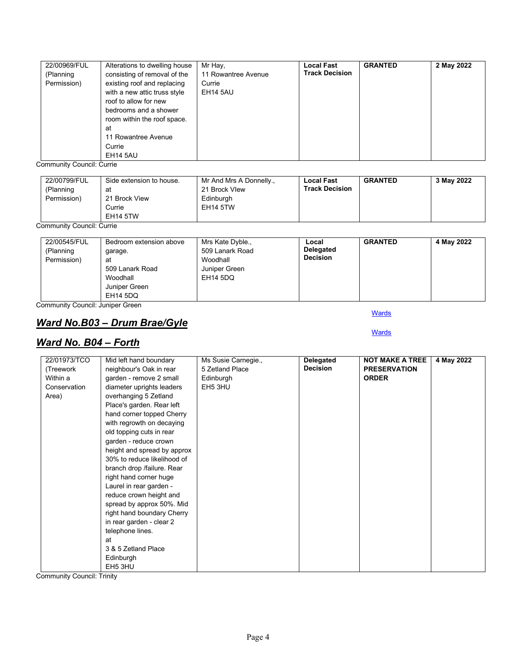| 22/00969/FUL | Alterations to dwelling house | Mr Hay,             | <b>Local Fast</b>     | <b>GRANTED</b> | 2 May 2022 |
|--------------|-------------------------------|---------------------|-----------------------|----------------|------------|
| (Planning    | consisting of removal of the  | 11 Rowantree Avenue | <b>Track Decision</b> |                |            |
| Permission)  | existing roof and replacing   | Currie              |                       |                |            |
|              | with a new attic truss style  | <b>EH14 5AU</b>     |                       |                |            |
|              | roof to allow for new         |                     |                       |                |            |
|              | bedrooms and a shower         |                     |                       |                |            |
|              | room within the roof space.   |                     |                       |                |            |
|              | at                            |                     |                       |                |            |
|              | 11 Rowantree Avenue           |                     |                       |                |            |
|              | Currie                        |                     |                       |                |            |
|              | <b>EH14 5AU</b>               |                     |                       |                |            |

Community Council: Currie

| 22/00799/FUL<br>(Planning<br>Permission) | Side extension to house.<br>at<br>21 Brock View<br>Currie<br>EH14 5TW | Mr And Mrs A Donnelly.,<br>21 Brock Vlew<br>Edinburgh<br><b>EH14 5TW</b> | <b>Local Fast</b><br><b>Track Decision</b> | <b>GRANTED</b> | 3 May 2022 |
|------------------------------------------|-----------------------------------------------------------------------|--------------------------------------------------------------------------|--------------------------------------------|----------------|------------|
|------------------------------------------|-----------------------------------------------------------------------|--------------------------------------------------------------------------|--------------------------------------------|----------------|------------|

Community Council: Currie

| Mrs Kate Dyble.,<br>509 Lanark Road<br>(Planning<br>garage.<br>Permission)<br>Woodhall<br>at<br>509 Lanark Road<br>Juniper Green<br>Woodhall<br>EH14 5DQ<br>Juniper Green<br>EH14 5DQ | <b>Delegated</b><br><b>Decision</b> |  |  |
|---------------------------------------------------------------------------------------------------------------------------------------------------------------------------------------|-------------------------------------|--|--|
|---------------------------------------------------------------------------------------------------------------------------------------------------------------------------------------|-------------------------------------|--|--|

Community Council: Juniper Green

# <span id="page-3-0"></span>*Ward No.B03 – Drum Brae/Gyle*

# <span id="page-3-1"></span>*Ward No. B04 – Forth*

### **[Wards](#page-0-0)**

#### **[Wards](#page-0-0)**

| 22/01973/TCO                      | Mid left hand boundary      | Ms Susie Carnegie., | Delegated       | <b>NOT MAKE A TREE</b> | 4 May 2022 |
|-----------------------------------|-----------------------------|---------------------|-----------------|------------------------|------------|
| (Treework)                        | neighbour's Oak in rear     | 5 Zetland Place     | <b>Decision</b> | <b>PRESERVATION</b>    |            |
| Within a                          | garden - remove 2 small     | Edinburgh           |                 | <b>ORDER</b>           |            |
| Conservation                      | diameter uprights leaders   | EH5 3HU             |                 |                        |            |
| Area)                             | overhanging 5 Zetland       |                     |                 |                        |            |
|                                   | Place's garden. Rear left   |                     |                 |                        |            |
|                                   | hand corner topped Cherry   |                     |                 |                        |            |
|                                   | with regrowth on decaying   |                     |                 |                        |            |
|                                   | old topping cuts in rear    |                     |                 |                        |            |
|                                   | garden - reduce crown       |                     |                 |                        |            |
|                                   | height and spread by approx |                     |                 |                        |            |
|                                   | 30% to reduce likelihood of |                     |                 |                        |            |
|                                   | branch drop /failure. Rear  |                     |                 |                        |            |
|                                   | right hand corner huge      |                     |                 |                        |            |
|                                   | Laurel in rear garden -     |                     |                 |                        |            |
|                                   | reduce crown height and     |                     |                 |                        |            |
|                                   | spread by approx 50%. Mid   |                     |                 |                        |            |
|                                   | right hand boundary Cherry  |                     |                 |                        |            |
|                                   | in rear garden - clear 2    |                     |                 |                        |            |
|                                   | telephone lines.            |                     |                 |                        |            |
|                                   | at                          |                     |                 |                        |            |
|                                   | 3 & 5 Zetland Place         |                     |                 |                        |            |
|                                   | Edinburgh                   |                     |                 |                        |            |
|                                   | EH5 3HU                     |                     |                 |                        |            |
| <b>Community Council: Trinity</b> |                             |                     |                 |                        |            |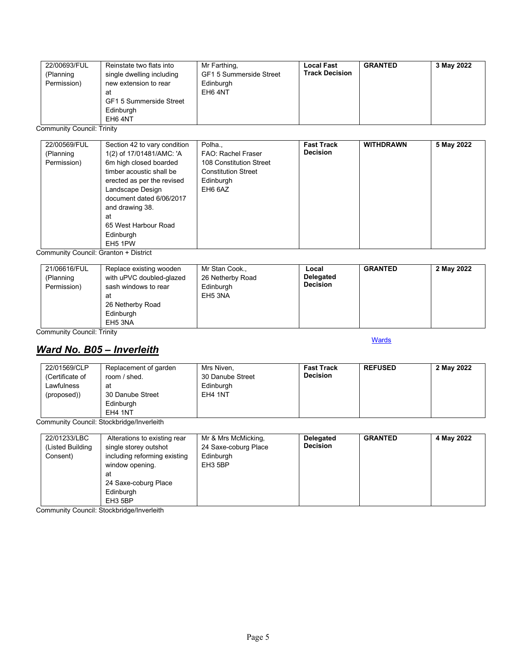| 22/00693/FUL | Reinstate two flats into  | Mr Farthing,            | <b>Local Fast</b>     | <b>GRANTED</b> | 3 May 2022 |
|--------------|---------------------------|-------------------------|-----------------------|----------------|------------|
| (Planning    | single dwelling including | GF1 5 Summerside Street | <b>Track Decision</b> |                |            |
| Permission)  | new extension to rear     | Edinburgh               |                       |                |            |
|              | at                        | EH <sub>6</sub> 4NT     |                       |                |            |
|              | GF1 5 Summerside Street   |                         |                       |                |            |
|              | Edinburgh                 |                         |                       |                |            |
|              | EH6 4NT                   |                         |                       |                |            |

Community Council: Trinity

| 22/00569/FUL | Section 42 to vary condition | Polha.,                    | <b>Fast Track</b> | <b>WITHDRAWN</b> | 5 May 2022 |
|--------------|------------------------------|----------------------------|-------------------|------------------|------------|
| (Planning    | 1(2) of 17/01481/AMC: 'A     | <b>FAO: Rachel Fraser</b>  | <b>Decision</b>   |                  |            |
| Permission)  | 6m high closed boarded       | 108 Constitution Street    |                   |                  |            |
|              | timber acoustic shall be     | <b>Constitution Street</b> |                   |                  |            |
|              | erected as per the revised   | Edinburgh                  |                   |                  |            |
|              | Landscape Design             | EH6 6AZ                    |                   |                  |            |
|              | document dated 6/06/2017     |                            |                   |                  |            |
|              | and drawing 38.              |                            |                   |                  |            |
|              | at                           |                            |                   |                  |            |
|              | 65 West Harbour Road         |                            |                   |                  |            |
|              | Edinburgh                    |                            |                   |                  |            |
|              | EH5 1PW                      |                            |                   |                  |            |

Community Council: Granton + District

| 21/06616/FUL<br>(Planning<br>Permission) | Replace existing wooden<br>with uPVC doubled-glazed<br>sash windows to rear<br>at<br>26 Netherby Road<br>Edinburgh<br>EH5 3NA | Mr Stan Cook.,<br>26 Netherby Road<br>Edinburgh<br>EH5 3NA | Local<br><b>Delegated</b><br><b>Decision</b> | <b>GRANTED</b> | 2 May 2022 |
|------------------------------------------|-------------------------------------------------------------------------------------------------------------------------------|------------------------------------------------------------|----------------------------------------------|----------------|------------|
|------------------------------------------|-------------------------------------------------------------------------------------------------------------------------------|------------------------------------------------------------|----------------------------------------------|----------------|------------|

**[Wards](#page-0-0)** 

Community Council: Trinity

# <span id="page-4-0"></span>*Ward No. B05 – Inverleith*

| 22/01569/CLP<br>(Certificate of<br>Lawfulness<br>(proposed)) | Replacement of garden<br>room / shed.<br>at<br>30 Danube Street<br>Edinburgh<br>EH4 1NT | Mrs Niven,<br>30 Danube Street<br>Edinburgh<br>EH4 1NT | <b>Fast Track</b><br><b>Decision</b> | <b>REFUSED</b> | 2 May 2022 |
|--------------------------------------------------------------|-----------------------------------------------------------------------------------------|--------------------------------------------------------|--------------------------------------|----------------|------------|
|--------------------------------------------------------------|-----------------------------------------------------------------------------------------|--------------------------------------------------------|--------------------------------------|----------------|------------|

Community Council: Stockbridge/Inverleith

| 22/01233/LBC<br>(Listed Building<br>Consent) | Alterations to existing rear<br>single storey outshot<br>including reforming existing<br>window opening.<br>at<br>24 Saxe-coburg Place<br>Edinburgh<br>EH3 5BP | Mr & Mrs McMicking,<br>24 Saxe-coburg Place<br>Edinburgh<br>EH3 5BP | Delegated<br><b>Decision</b> | <b>GRANTED</b> | 4 May 2022 |
|----------------------------------------------|----------------------------------------------------------------------------------------------------------------------------------------------------------------|---------------------------------------------------------------------|------------------------------|----------------|------------|
|----------------------------------------------|----------------------------------------------------------------------------------------------------------------------------------------------------------------|---------------------------------------------------------------------|------------------------------|----------------|------------|

Community Council: Stockbridge/Inverleith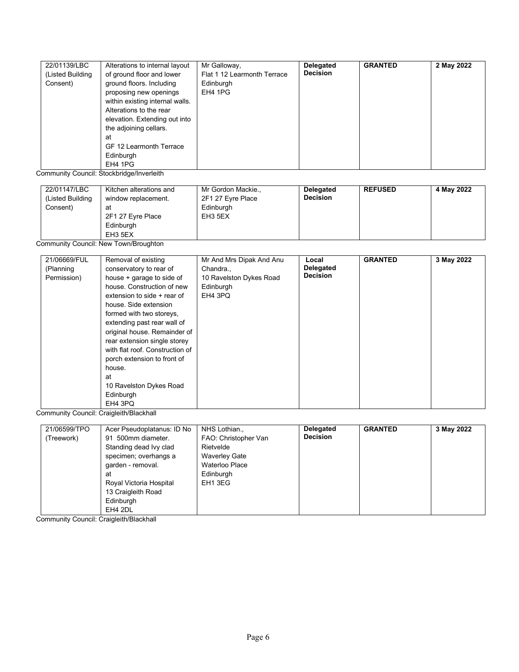| 22/01139/LBC     | Alterations to internal layout  | Mr Galloway,<br>Flat 1 12 Learmonth Terrace | Delegated<br><b>Decision</b> | <b>GRANTED</b> | 2 May 2022 |
|------------------|---------------------------------|---------------------------------------------|------------------------------|----------------|------------|
| (Listed Building | of ground floor and lower       |                                             |                              |                |            |
| Consent)         | ground floors. Including        | Edinburgh                                   |                              |                |            |
|                  | proposing new openings          | EH4 1PG                                     |                              |                |            |
|                  | within existing internal walls. |                                             |                              |                |            |
|                  | Alterations to the rear         |                                             |                              |                |            |
|                  | elevation. Extending out into   |                                             |                              |                |            |
|                  | the adjoining cellars.          |                                             |                              |                |            |
|                  | at                              |                                             |                              |                |            |
|                  | GF 12 Learmonth Terrace         |                                             |                              |                |            |
|                  | Edinburgh                       |                                             |                              |                |            |
|                  | EH4 1PG                         |                                             |                              |                |            |

Community Council: Stockbridge/Inverleith

| 22/01147/LBC<br>Kitchen alterations and<br>(Listed Building<br>window replacement.<br>Consent)<br>at<br>2F1 27 Eyre Place<br>Edinburgh<br>EH3 5EX | Mr Gordon Mackie.,<br>2F1 27 Eyre Place<br>Edinburgh<br>EH3 5EX | Delegated<br><b>Decision</b> | <b>REFUSED</b> | 4 May 2022 |
|---------------------------------------------------------------------------------------------------------------------------------------------------|-----------------------------------------------------------------|------------------------------|----------------|------------|
|---------------------------------------------------------------------------------------------------------------------------------------------------|-----------------------------------------------------------------|------------------------------|----------------|------------|

Community Council: New Town/Broughton

| 21/06669/FUL<br>Removal of existing<br>conservatory to rear of<br>(Planning<br>Permission)<br>house + garage to side of<br>house. Construction of new<br>extension to side + rear of<br>house. Side extension<br>formed with two storeys,<br>extending past rear wall of<br>original house. Remainder of<br>rear extension single storey<br>with flat roof. Construction of<br>porch extension to front of<br>house.<br>at<br>10 Ravelston Dykes Road<br>Edinburgh<br>EH4 3PQ | Mr And Mrs Dipak And Anu<br>Chandra<br>10 Ravelston Dykes Road<br>Edinburgh<br>EH4 3PQ | Local<br>Delegated<br><b>Decision</b> | <b>GRANTED</b> | 3 May 2022 |
|-------------------------------------------------------------------------------------------------------------------------------------------------------------------------------------------------------------------------------------------------------------------------------------------------------------------------------------------------------------------------------------------------------------------------------------------------------------------------------|----------------------------------------------------------------------------------------|---------------------------------------|----------------|------------|
|-------------------------------------------------------------------------------------------------------------------------------------------------------------------------------------------------------------------------------------------------------------------------------------------------------------------------------------------------------------------------------------------------------------------------------------------------------------------------------|----------------------------------------------------------------------------------------|---------------------------------------|----------------|------------|

Community Council: Craigleith/Blackhall

| 21/06599/TPO | Acer Pseudoplatanus: ID No | NHS Lothian.,        | Delegated       | <b>GRANTED</b> | 3 May 2022 |
|--------------|----------------------------|----------------------|-----------------|----------------|------------|
| (Treework)   | 91 500mm diameter.         | FAO: Christopher Van | <b>Decision</b> |                |            |
|              | Standing dead Ivy clad     | Rietvelde            |                 |                |            |
|              | specimen; overhangs a      | <b>Waverley Gate</b> |                 |                |            |
|              | garden - removal.          | Waterloo Place       |                 |                |            |
|              | at                         | Edinburgh            |                 |                |            |
|              | Royal Victoria Hospital    | EH1 3EG              |                 |                |            |
|              | 13 Craigleith Road         |                      |                 |                |            |
|              | Edinburgh                  |                      |                 |                |            |
|              | EH4 2DL                    |                      |                 |                |            |

Community Council: Craigleith/Blackhall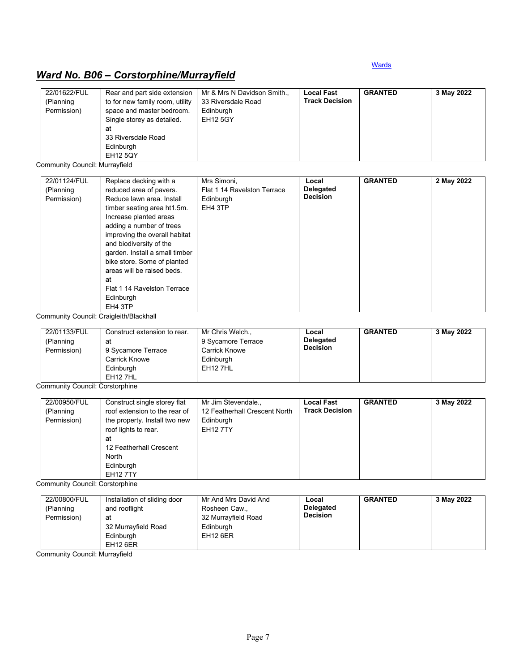# <span id="page-6-0"></span>*Ward No. B06 – Corstorphine/Murrayfield*

| <b>GRANTED</b><br>22/01622/FUL<br>Mr & Mrs N Davidson Smith.,<br>Rear and part side extension<br><b>Local Fast</b><br><b>Track Decision</b><br>33 Riversdale Road<br>to for new family room, utility<br>(Planning<br>Permission)<br>space and master bedroom.<br>Edinburgh<br><b>EH12 5GY</b><br>Single storey as detailed.<br>at<br>33 Riversdale Road<br>Edinburgh | 3 May 2022 |
|----------------------------------------------------------------------------------------------------------------------------------------------------------------------------------------------------------------------------------------------------------------------------------------------------------------------------------------------------------------------|------------|
|----------------------------------------------------------------------------------------------------------------------------------------------------------------------------------------------------------------------------------------------------------------------------------------------------------------------------------------------------------------------|------------|

#### Community Council: Murrayfield

| 22/01124/FUL | Replace decking with a         | Mrs Simoni,                 | Local            | <b>GRANTED</b> | 2 May 2022 |
|--------------|--------------------------------|-----------------------------|------------------|----------------|------------|
| (Planning    | reduced area of pavers.        | Flat 1 14 Ravelston Terrace | <b>Delegated</b> |                |            |
| Permission)  | Reduce lawn area. Install      | Edinburgh                   | <b>Decision</b>  |                |            |
|              | timber seating area ht1.5m.    | EH4 3TP                     |                  |                |            |
|              | Increase planted areas         |                             |                  |                |            |
|              | adding a number of trees       |                             |                  |                |            |
|              | improving the overall habitat  |                             |                  |                |            |
|              | and biodiversity of the        |                             |                  |                |            |
|              | garden. Install a small timber |                             |                  |                |            |
|              | bike store. Some of planted    |                             |                  |                |            |
|              | areas will be raised beds.     |                             |                  |                |            |
|              | at                             |                             |                  |                |            |
|              | Flat 1 14 Ravelston Terrace    |                             |                  |                |            |
|              | Edinburgh                      |                             |                  |                |            |
|              | EH4 3TP                        |                             |                  |                |            |

Community Council: Craigleith/Blackhall

| 22/01133/FUL<br>(Planning<br>Permission) | Construct extension to rear.<br>at<br>9 Sycamore Terrace<br>Carrick Knowe<br>Edinburgh<br>EH <sub>12</sub> 7HL | Mr Chris Welch.,<br>9 Sycamore Terrace<br><b>Carrick Knowe</b><br>Edinburgh<br><b>EH12 7HL</b> | Local<br><b>Delegated</b><br><b>Decision</b> | <b>GRANTED</b> | 3 May 2022 |
|------------------------------------------|----------------------------------------------------------------------------------------------------------------|------------------------------------------------------------------------------------------------|----------------------------------------------|----------------|------------|
|------------------------------------------|----------------------------------------------------------------------------------------------------------------|------------------------------------------------------------------------------------------------|----------------------------------------------|----------------|------------|

Community Council: Corstorphine

| 22/00950/FUL<br>(Planning<br>Permission) | Construct single storey flat<br>roof extension to the rear of<br>the property. Install two new<br>roof lights to rear.<br>at<br>12 Featherhall Crescent<br>North | Mr Jim Stevendale.,<br>12 Featherhall Crescent North<br>Edinburgh<br><b>EH12 7TY</b> | <b>Local Fast</b><br><b>Track Decision</b> | <b>GRANTED</b> | 3 May 2022 |
|------------------------------------------|------------------------------------------------------------------------------------------------------------------------------------------------------------------|--------------------------------------------------------------------------------------|--------------------------------------------|----------------|------------|
|                                          | Edinburgh<br><b>EH12 7TY</b>                                                                                                                                     |                                                                                      |                                            |                |            |

Community Council: Corstorphine

| 22/00800/FUL<br>(Planning<br>Permission) | Installation of sliding door<br>and rooflight<br>at      | Mr And Mrs David And<br>Rosheen Caw.,<br>32 Murrayfield Road | Local<br><b>Delegated</b><br><b>Decision</b> | <b>GRANTED</b> | 3 May 2022 |
|------------------------------------------|----------------------------------------------------------|--------------------------------------------------------------|----------------------------------------------|----------------|------------|
|                                          | 32 Murrayfield Road<br>Edinburgh<br>EH <sub>12</sub> 6ER | Edinburgh<br>EH <sub>12</sub> 6ER                            |                                              |                |            |

Community Council: Murrayfield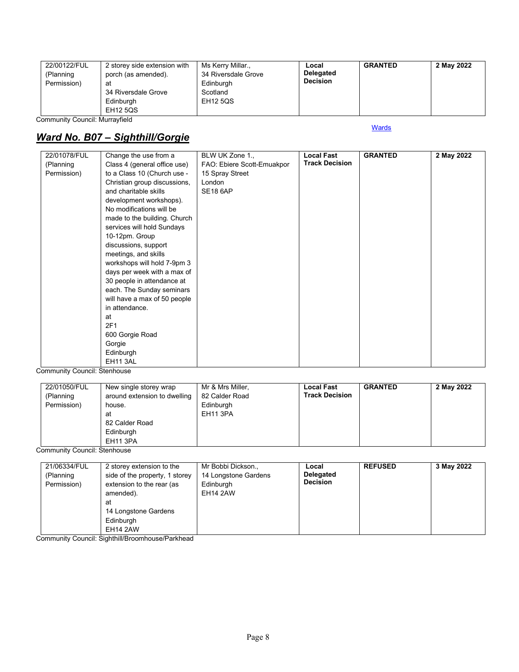| 22/00122/FUL<br>(Planning<br>Permission) | 2 storey side extension with<br>porch (as amended).<br>at<br>34 Riversdale Grove<br>Edinburgh<br><b>EH12 5QS</b> | Ms Kerry Millar.,<br>34 Riversdale Grove<br>Edinburgh<br>Scotland<br><b>EH12 5QS</b> | Local<br><b>Delegated</b><br><b>Decision</b> | <b>GRANTED</b> | 2 May 2022 |
|------------------------------------------|------------------------------------------------------------------------------------------------------------------|--------------------------------------------------------------------------------------|----------------------------------------------|----------------|------------|
|------------------------------------------|------------------------------------------------------------------------------------------------------------------|--------------------------------------------------------------------------------------|----------------------------------------------|----------------|------------|

Community Council: Murrayfield

# <span id="page-7-0"></span>*Ward No. B07 – Sighthill/Gorgie*

#### **[Wards](#page-0-0)**

| 22/01078/FUL                 | Change the use from a        | BLW UK Zone 1.,            | <b>Local Fast</b>     | <b>GRANTED</b> | 2 May 2022 |
|------------------------------|------------------------------|----------------------------|-----------------------|----------------|------------|
| (Planning                    | Class 4 (general office use) | FAO: Ebiere Scott-Emuakpor | <b>Track Decision</b> |                |            |
| Permission)                  | to a Class 10 (Church use -  | 15 Spray Street            |                       |                |            |
|                              | Christian group discussions, | London                     |                       |                |            |
|                              | and charitable skills        | <b>SE18 6AP</b>            |                       |                |            |
|                              | development workshops).      |                            |                       |                |            |
|                              | No modifications will be     |                            |                       |                |            |
|                              | made to the building. Church |                            |                       |                |            |
|                              | services will hold Sundays   |                            |                       |                |            |
|                              | 10-12pm. Group               |                            |                       |                |            |
|                              | discussions, support         |                            |                       |                |            |
|                              | meetings, and skills         |                            |                       |                |            |
|                              | workshops will hold 7-9pm 3  |                            |                       |                |            |
|                              | days per week with a max of  |                            |                       |                |            |
|                              | 30 people in attendance at   |                            |                       |                |            |
|                              | each. The Sunday seminars    |                            |                       |                |            |
|                              | will have a max of 50 people |                            |                       |                |            |
|                              | in attendance.               |                            |                       |                |            |
|                              | at                           |                            |                       |                |            |
|                              | 2F1                          |                            |                       |                |            |
|                              | 600 Gorgie Road              |                            |                       |                |            |
|                              | Gorgie                       |                            |                       |                |            |
|                              | Edinburgh                    |                            |                       |                |            |
| Community Council: Ctonhouse | <b>EH11 3AL</b>              |                            |                       |                |            |

Community Council: Stenhouse

| 22/01050/FUL<br>(Planning<br>Permission) | New single storey wrap<br>around extension to dwelling<br>house.<br>at<br>82 Calder Road<br>Edinburgh<br>EH11 3PA | Mr & Mrs Miller,<br>82 Calder Road<br>Edinburgh<br>EH11 3PA | <b>Local Fast</b><br><b>Track Decision</b> | <b>GRANTED</b> | 2 May 2022 |
|------------------------------------------|-------------------------------------------------------------------------------------------------------------------|-------------------------------------------------------------|--------------------------------------------|----------------|------------|
|------------------------------------------|-------------------------------------------------------------------------------------------------------------------|-------------------------------------------------------------|--------------------------------------------|----------------|------------|

Community Council: Stenhouse

| 21/06334/FUL<br>(Planning<br>Permission) | 2 storey extension to the<br>side of the property, 1 storey<br>extension to the rear (as<br>amended).<br>at<br>14 Longstone Gardens<br>Edinburgh<br><b>EH14 2AW</b> | Mr Bobbi Dickson.,<br>14 Longstone Gardens<br>Edinburgh<br><b>EH14 2AW</b> | Local<br><b>Delegated</b><br><b>Decision</b> | <b>REFUSED</b> | 3 May 2022 |
|------------------------------------------|---------------------------------------------------------------------------------------------------------------------------------------------------------------------|----------------------------------------------------------------------------|----------------------------------------------|----------------|------------|
|------------------------------------------|---------------------------------------------------------------------------------------------------------------------------------------------------------------------|----------------------------------------------------------------------------|----------------------------------------------|----------------|------------|

Community Council: Sighthill/Broomhouse/Parkhead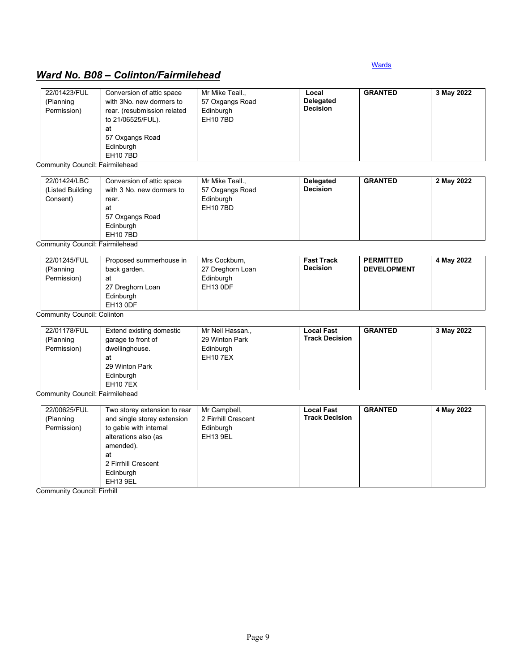# <span id="page-8-0"></span>*Ward No. B08 – Colinton/Fairmilehead*

| 22/01423/FUL                           | Conversion of attic space    | Mr Mike Teall.,     | Local                        | <b>GRANTED</b>     | 3 May 2022 |
|----------------------------------------|------------------------------|---------------------|------------------------------|--------------------|------------|
| (Planning                              | with 3No. new dormers to     | 57 Oxgangs Road     | Delegated                    |                    |            |
| Permission)                            | rear. (resubmission related  | Edinburgh           | <b>Decision</b>              |                    |            |
|                                        | to 21/06525/FUL).            | <b>EH10 7BD</b>     |                              |                    |            |
|                                        | at                           |                     |                              |                    |            |
|                                        | 57 Oxgangs Road              |                     |                              |                    |            |
|                                        | Edinburgh                    |                     |                              |                    |            |
|                                        | <b>EH10 7BD</b>              |                     |                              |                    |            |
| <b>Community Council: Fairmilehead</b> |                              |                     |                              |                    |            |
| 22/01424/LBC                           |                              |                     |                              |                    |            |
|                                        | Conversion of attic space    | Mr Mike Teall.,     | Delegated<br><b>Decision</b> | <b>GRANTED</b>     | 2 May 2022 |
| (Listed Building                       | with 3 No. new dormers to    | 57 Oxgangs Road     |                              |                    |            |
| Consent)                               | rear.                        | Edinburgh           |                              |                    |            |
|                                        | at                           | <b>EH107BD</b>      |                              |                    |            |
|                                        | 57 Oxgangs Road              |                     |                              |                    |            |
|                                        | Edinburgh                    |                     |                              |                    |            |
|                                        | <b>EH10 7BD</b>              |                     |                              |                    |            |
| <b>Community Council: Fairmilehead</b> |                              |                     |                              |                    |            |
| 22/01245/FUL                           | Proposed summerhouse in      | Mrs Cockburn,       | <b>Fast Track</b>            | <b>PERMITTED</b>   | 4 May 2022 |
| (Planning                              | back garden.                 | 27 Dreghorn Loan    | <b>Decision</b>              | <b>DEVELOPMENT</b> |            |
| Permission)                            | at                           | Edinburgh           |                              |                    |            |
|                                        | 27 Dreghorn Loan             | <b>EH13 ODF</b>     |                              |                    |            |
|                                        | Edinburgh                    |                     |                              |                    |            |
|                                        | EH13 ODF                     |                     |                              |                    |            |
| <b>Community Council: Colinton</b>     |                              |                     |                              |                    |            |
| 22/01178/FUL                           | Extend existing domestic     | Mr Neil Hassan.,    | <b>Local Fast</b>            | <b>GRANTED</b>     | 3 May 2022 |
| (Planning                              | garage to front of           | 29 Winton Park      | <b>Track Decision</b>        |                    |            |
| Permission)                            | dwellinghouse.               | Edinburgh           |                              |                    |            |
|                                        |                              |                     |                              |                    |            |
|                                        | at                           | <b>EH107EX</b>      |                              |                    |            |
|                                        | 29 Winton Park               |                     |                              |                    |            |
|                                        | Edinburgh                    |                     |                              |                    |            |
| Community Council: Fairmilehead        | <b>EH10 7EX</b>              |                     |                              |                    |            |
|                                        |                              |                     |                              |                    |            |
|                                        |                              |                     |                              |                    |            |
| 22/00625/FUL                           | Two storey extension to rear | Mr Campbell,        | <b>Local Fast</b>            | <b>GRANTED</b>     | 4 May 2022 |
| (Planning                              | and single storey extension  | 2 Firrhill Crescent | <b>Track Decision</b>        |                    |            |
| Permission)                            | to gable with internal       | Edinburgh           |                              |                    |            |
|                                        | alterations also (as         | <b>EH13 9EL</b>     |                              |                    |            |
|                                        | amended).                    |                     |                              |                    |            |
|                                        | at                           |                     |                              |                    |            |
|                                        | 2 Firrhill Crescent          |                     |                              |                    |            |
|                                        | Edinburgh                    |                     |                              |                    |            |
|                                        | EH13 9EL                     |                     |                              |                    |            |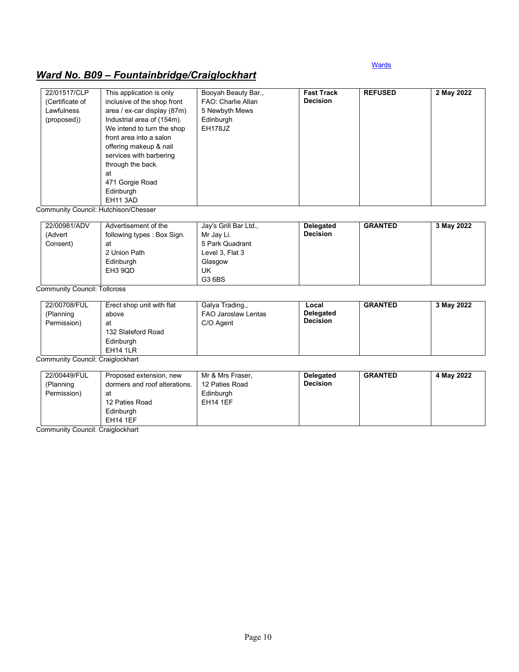# <span id="page-9-0"></span>*Ward No. B09 – Fountainbridge/Craiglockhart*

| 22/01517/CLP<br>(Certificate of<br>Lawfulness<br>(proposed)) | This application is only<br>inclusive of the shop front<br>area / ex-car display (87m)<br>Industrial area of (154m).<br>We intend to turn the shop<br>front area into a salon<br>offering makeup & nail<br>services with barbering<br>through the back.<br>at<br>471 Gorgie Road<br>Edinburgh | Booyah Beauty Bar.,<br>FAO: Charlie Allan<br>5 Newbyth Mews<br>Edinburgh<br>EH178JZ | <b>Fast Track</b><br><b>Decision</b> | <b>REFUSED</b> | 2 May 2022 |
|--------------------------------------------------------------|-----------------------------------------------------------------------------------------------------------------------------------------------------------------------------------------------------------------------------------------------------------------------------------------------|-------------------------------------------------------------------------------------|--------------------------------------|----------------|------------|
|                                                              | EH11 3AD                                                                                                                                                                                                                                                                                      |                                                                                     |                                      |                |            |

Community Council: Hutchison/Chesser

| 22/00981/ADV | Advertisement of the       | Jay's Grill Bar Ltd., | Delegated       | <b>GRANTED</b> | 3 May 2022 |
|--------------|----------------------------|-----------------------|-----------------|----------------|------------|
| (Advert      | following types: Box Sign. | Mr Jay Li.            | <b>Decision</b> |                |            |
| Consent)     | at                         | 5 Park Quadrant       |                 |                |            |
|              | 2 Union Path               | Level 3, Flat 3       |                 |                |            |
|              | Edinburgh                  | Glasgow               |                 |                |            |
|              | EH3 9QD                    | UK                    |                 |                |            |
|              |                            | G3 6BS                |                 |                |            |

Community Council: Tollcross

| 22/00708/FUL<br>(Planning<br>Permission) | Erect shop unit with flat<br>above<br>at<br>132 Slateford Road<br>Edinburgh<br><b>EH14 1LR</b> | Galya Trading.,<br><b>FAO Jaroslaw Lentas</b><br>C/O Agent | Local<br><b>Delegated</b><br><b>Decision</b> | <b>GRANTED</b> | 3 May 2022 |
|------------------------------------------|------------------------------------------------------------------------------------------------|------------------------------------------------------------|----------------------------------------------|----------------|------------|
|------------------------------------------|------------------------------------------------------------------------------------------------|------------------------------------------------------------|----------------------------------------------|----------------|------------|

Community Council: Craiglockhart

| 22/00449/FUL<br>(Planning<br>Permission) | Proposed extension, new<br>dormers and roof alterations.<br>at<br>12 Paties Road | Mr & Mrs Fraser,<br>12 Paties Road<br>Edinburgh<br><b>EH14 1EF</b> | <b>Delegated</b><br><b>Decision</b> | <b>GRANTED</b> | 4 May 2022 |
|------------------------------------------|----------------------------------------------------------------------------------|--------------------------------------------------------------------|-------------------------------------|----------------|------------|
|                                          | Edinburgh<br><b>EH14 1EF</b>                                                     |                                                                    |                                     |                |            |

Community Council: Craiglockhart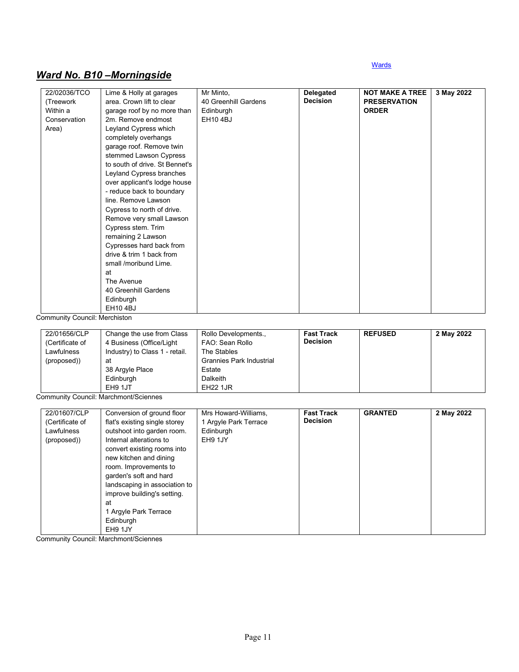# <span id="page-10-0"></span>*Ward No. B10 –Morningside*

| 22/02036/TCO<br>(Treework<br>Within a<br>Conservation<br>Area)                                | Lime & Holly at garages<br>area. Crown lift to clear<br>garage roof by no more than<br>2m. Remove endmost<br>Leyland Cypress which<br>completely overhangs<br>garage roof. Remove twin<br>stemmed Lawson Cypress<br>to south of drive. St Bennet's<br>Leyland Cypress branches<br>over applicant's lodge house<br>- reduce back to boundary<br>line. Remove Lawson<br>Cypress to north of drive.<br>Remove very small Lawson<br>Cypress stem. Trim<br>remaining 2 Lawson<br>Cypresses hard back from<br>drive & trim 1 back from<br>small /moribund Lime.<br>at<br>The Avenue<br>40 Greenhill Gardens<br>Edinburgh<br>EH10 4BJ | Mr Minto,<br>40 Greenhill Gardens<br>Edinburgh<br><b>EH10 4BJ</b>                                               | Delegated<br><b>Decision</b>         | <b>NOT MAKE A TREE</b><br><b>PRESERVATION</b><br><b>ORDER</b> | 3 May 2022 |
|-----------------------------------------------------------------------------------------------|--------------------------------------------------------------------------------------------------------------------------------------------------------------------------------------------------------------------------------------------------------------------------------------------------------------------------------------------------------------------------------------------------------------------------------------------------------------------------------------------------------------------------------------------------------------------------------------------------------------------------------|-----------------------------------------------------------------------------------------------------------------|--------------------------------------|---------------------------------------------------------------|------------|
| Community Council: Merchiston<br>22/01656/CLP<br>(Certificate of<br>Lawfulness<br>(proposed)) | Change the use from Class<br>4 Business (Office/Light<br>Industry) to Class 1 - retail.<br>at<br>38 Argyle Place<br>Edinburgh                                                                                                                                                                                                                                                                                                                                                                                                                                                                                                  | Rollo Developments.,<br>FAO: Sean Rollo<br>The Stables<br><b>Grannies Park Industrial</b><br>Estate<br>Dalkeith | <b>Fast Track</b><br><b>Decision</b> | <b>REFUSED</b>                                                | 2 May 2022 |
|                                                                                               | EH9 1JT                                                                                                                                                                                                                                                                                                                                                                                                                                                                                                                                                                                                                        | <b>EH22 1JR</b>                                                                                                 |                                      |                                                               |            |
| 22/01607/CLP<br>(Certificate of<br>Lawfulness<br>(proposed))                                  | Community Council: Marchmont/Sciennes<br>Conversion of ground floor<br>flat's existing single storey<br>outshoot into garden room.<br>Internal alterations to<br>convert existing rooms into<br>new kitchen and dining<br>room. Improvements to<br>garden's soft and hard<br>landscaping in association to<br>improve building's setting.<br>at<br>1 Argyle Park Terrace<br>Edinburgh<br>EH9 1JY                                                                                                                                                                                                                               | Mrs Howard-Williams,<br>1 Argyle Park Terrace<br>Edinburgh<br>EH9 1JY                                           | <b>Fast Track</b><br><b>Decision</b> | <b>GRANTED</b>                                                | 2 May 2022 |

Community Council: Marchmont/Sciennes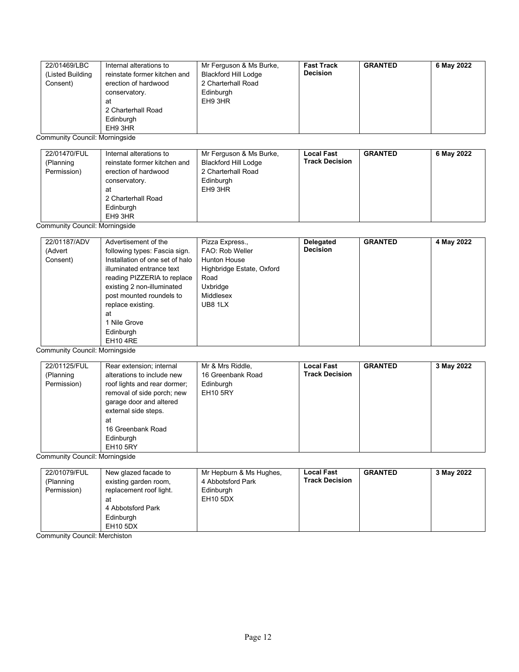| 22/01469/LBC<br>(Listed Building<br>Consent) | Internal alterations to<br>reinstate former kitchen and<br>erection of hardwood<br>conservatory.<br>at<br>2 Charterhall Road<br>Edinburgh<br>EH9 3HR | Mr Ferguson & Ms Burke,<br><b>Blackford Hill Lodge</b><br>2 Charterhall Road<br>Edinburgh<br>EH9 3HR | <b>Fast Track</b><br><b>Decision</b> | <b>GRANTED</b> | 6 May 2022 |
|----------------------------------------------|------------------------------------------------------------------------------------------------------------------------------------------------------|------------------------------------------------------------------------------------------------------|--------------------------------------|----------------|------------|
|----------------------------------------------|------------------------------------------------------------------------------------------------------------------------------------------------------|------------------------------------------------------------------------------------------------------|--------------------------------------|----------------|------------|

Community Council: Morningside

| 22/01470/FUL<br>(Planning<br>Permission) | Internal alterations to<br>reinstate former kitchen and<br>erection of hardwood<br>conservatory.<br>at<br>2 Charterhall Road<br>Edinburgh<br>EH9 3HR | Mr Ferguson & Ms Burke,<br><b>Blackford Hill Lodge</b><br>2 Charterhall Road<br>Edinburgh<br>EH9 3HR | <b>Local Fast</b><br><b>Track Decision</b> | <b>GRANTED</b> | 6 May 2022 |
|------------------------------------------|------------------------------------------------------------------------------------------------------------------------------------------------------|------------------------------------------------------------------------------------------------------|--------------------------------------------|----------------|------------|
|------------------------------------------|------------------------------------------------------------------------------------------------------------------------------------------------------|------------------------------------------------------------------------------------------------------|--------------------------------------------|----------------|------------|

Community Council: Morningside

| 22/01187/ADV | Advertisement of the            | Pizza Express.,           | <b>Delegated</b> | <b>GRANTED</b> | 4 May 2022 |
|--------------|---------------------------------|---------------------------|------------------|----------------|------------|
| (Advert      | following types: Fascia sign.   | FAO: Rob Weller           | <b>Decision</b>  |                |            |
| Consent)     | Installation of one set of halo | <b>Hunton House</b>       |                  |                |            |
|              | illuminated entrance text       | Highbridge Estate, Oxford |                  |                |            |
|              | reading PIZZERIA to replace     | Road                      |                  |                |            |
|              | existing 2 non-illuminated      | Uxbridge                  |                  |                |            |
|              | post mounted roundels to        | Middlesex                 |                  |                |            |
|              | replace existing.               | UB8 1LX                   |                  |                |            |
|              | at                              |                           |                  |                |            |
|              | 1 Nile Grove                    |                           |                  |                |            |
|              | Edinburgh                       |                           |                  |                |            |
|              | <b>EH10 4RE</b>                 |                           |                  |                |            |

Community Council: Morningside

| 22/01125/FUL<br>(Planning<br>Permission) | Rear extension; internal<br>alterations to include new<br>roof lights and rear dormer;<br>removal of side porch; new<br>garage door and altered<br>external side steps.<br>at<br>16 Greenbank Road<br>Edinburgh<br><b>EH10 5RY</b> | Mr & Mrs Riddle,<br>16 Greenbank Road<br>Edinburgh<br><b>EH10 5RY</b> | <b>Local Fast</b><br><b>Track Decision</b> | <b>GRANTED</b> | 3 May 2022 |
|------------------------------------------|------------------------------------------------------------------------------------------------------------------------------------------------------------------------------------------------------------------------------------|-----------------------------------------------------------------------|--------------------------------------------|----------------|------------|
|------------------------------------------|------------------------------------------------------------------------------------------------------------------------------------------------------------------------------------------------------------------------------------|-----------------------------------------------------------------------|--------------------------------------------|----------------|------------|

Community Council: Morningside

| 22/01079/FUL<br>(Planning<br>Permission) | New glazed facade to<br>existing garden room,<br>replacement roof light.<br>at<br>4 Abbotsford Park<br>Edinburgh<br>EH10 5DX | Mr Hepburn & Ms Hughes,<br>4 Abbotsford Park<br>Edinburgh<br>EH10 5DX | <b>Local Fast</b><br><b>Track Decision</b> | <b>GRANTED</b> | 3 May 2022 |
|------------------------------------------|------------------------------------------------------------------------------------------------------------------------------|-----------------------------------------------------------------------|--------------------------------------------|----------------|------------|
|------------------------------------------|------------------------------------------------------------------------------------------------------------------------------|-----------------------------------------------------------------------|--------------------------------------------|----------------|------------|

Community Council: Merchiston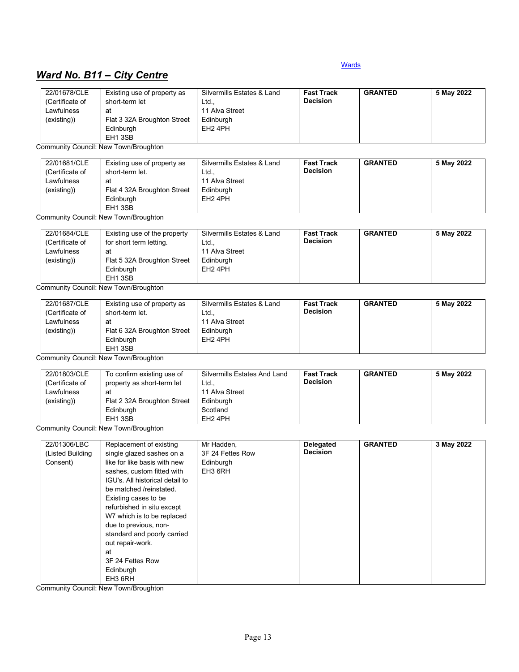# <span id="page-12-0"></span>*Ward No. B11 – City Centre*

| 22/01678/CLE                          | Existing use of property as                      | Silvermills Estates & Land          | <b>Fast Track</b> | <b>GRANTED</b> | 5 May 2022 |
|---------------------------------------|--------------------------------------------------|-------------------------------------|-------------------|----------------|------------|
| (Certificate of                       | short-term let                                   | Ltd                                 | <b>Decision</b>   |                |            |
| Lawfulness                            | at                                               | 11 Alva Street                      |                   |                |            |
| (existing))                           | Flat 3 32A Broughton Street                      | Edinburgh                           |                   |                |            |
|                                       | Edinburgh                                        | EH <sub>2</sub> 4PH                 |                   |                |            |
|                                       | EH <sub>1</sub> 3SB                              |                                     |                   |                |            |
|                                       | Community Council: New Town/Broughton            |                                     |                   |                |            |
| 22/01681/CLE                          |                                                  | Silvermills Estates & Land          | <b>Fast Track</b> | <b>GRANTED</b> |            |
|                                       | Existing use of property as                      |                                     | <b>Decision</b>   |                | 5 May 2022 |
| (Certificate of                       | short-term let.                                  | Ltd.,                               |                   |                |            |
| Lawfulness                            | at                                               | 11 Alva Street                      |                   |                |            |
| (existing))                           | Flat 4 32A Broughton Street                      | Edinburgh                           |                   |                |            |
|                                       | Edinburgh                                        | EH <sub>2</sub> 4PH                 |                   |                |            |
|                                       | EH13SB                                           |                                     |                   |                |            |
|                                       | Community Council: New Town/Broughton            |                                     |                   |                |            |
| 22/01684/CLE                          | Existing use of the property                     | Silvermills Estates & Land          | <b>Fast Track</b> | <b>GRANTED</b> | 5 May 2022 |
| (Certificate of                       | for short term letting.                          | Ltd.,                               | <b>Decision</b>   |                |            |
| Lawfulness                            | at                                               | 11 Alva Street                      |                   |                |            |
| (existing))                           | Flat 5 32A Broughton Street                      | Edinburgh                           |                   |                |            |
|                                       | Edinburgh                                        | EH <sub>2</sub> 4PH                 |                   |                |            |
|                                       | EH13SB                                           |                                     |                   |                |            |
|                                       | Community Council: New Town/Broughton            |                                     |                   |                |            |
| 22/01687/CLE                          | Existing use of property as                      | Silvermills Estates & Land          | <b>Fast Track</b> | <b>GRANTED</b> | 5 May 2022 |
| (Certificate of                       | short-term let.                                  | Ltd.                                | <b>Decision</b>   |                |            |
|                                       |                                                  |                                     |                   |                |            |
| Lawfulness                            | at                                               | 11 Alva Street                      |                   |                |            |
| (existing))                           | Flat 6 32A Broughton Street                      | Edinburgh                           |                   |                |            |
|                                       | Edinburgh                                        | EH <sub>2</sub> 4PH                 |                   |                |            |
|                                       | EH1 3SB<br>Community Council: New Town/Broughton |                                     |                   |                |            |
|                                       |                                                  |                                     |                   |                |            |
| 22/01803/CLE                          | To confirm existing use of                       | <b>Silvermills Estates And Land</b> | <b>Fast Track</b> | <b>GRANTED</b> | 5 May 2022 |
| (Certificate of                       | property as short-term let                       | Ltd.,                               | <b>Decision</b>   |                |            |
| Lawfulness                            | at                                               | 11 Alva Street                      |                   |                |            |
| (existing))                           | Flat 2 32A Broughton Street                      | Edinburgh                           |                   |                |            |
|                                       | Edinburgh                                        | Scotland                            |                   |                |            |
|                                       | EH13SB                                           | EH <sub>2</sub> 4PH                 |                   |                |            |
|                                       | Community Council: New Town/Broughton            |                                     |                   |                |            |
| 22/01306/LBC                          | Replacement of existing                          | Mr Hadden,                          | Delegated         | <b>GRANTED</b> | 3 May 2022 |
| (Listed Building                      | single glazed sashes on a                        | 3F 24 Fettes Row                    | <b>Decision</b>   |                |            |
| Consent)                              | like for like basis with new                     | Edinburgh                           |                   |                |            |
|                                       | sashes, custom fitted with                       | EH3 6RH                             |                   |                |            |
|                                       | IGU's. All historical detail to                  |                                     |                   |                |            |
|                                       |                                                  |                                     |                   |                |            |
|                                       | be matched /reinstated.                          |                                     |                   |                |            |
|                                       | Existing cases to be                             |                                     |                   |                |            |
|                                       | refurbished in situ except                       |                                     |                   |                |            |
|                                       | W7 which is to be replaced                       |                                     |                   |                |            |
|                                       | due to previous, non-                            |                                     |                   |                |            |
|                                       | standard and poorly carried                      |                                     |                   |                |            |
|                                       | out repair-work.                                 |                                     |                   |                |            |
|                                       | at                                               |                                     |                   |                |            |
|                                       | 3F 24 Fettes Row                                 |                                     |                   |                |            |
|                                       | Edinburgh                                        |                                     |                   |                |            |
|                                       | EH3 6RH                                          |                                     |                   |                |            |
| Community Council: New Town/Broughton |                                                  |                                     |                   |                |            |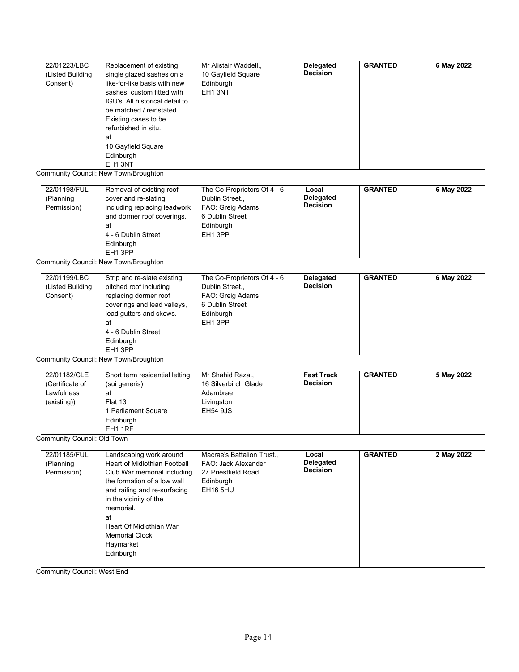| 22/01223/LBC     | Replacement of existing         | Mr Alistair Waddell., | <b>Delegated</b> | <b>GRANTED</b> | 6 May 2022 |
|------------------|---------------------------------|-----------------------|------------------|----------------|------------|
| (Listed Building | single glazed sashes on a       | 10 Gayfield Square    | <b>Decision</b>  |                |            |
| Consent)         | like-for-like basis with new    | Edinburgh             |                  |                |            |
|                  | sashes, custom fitted with      | EH1 3NT               |                  |                |            |
|                  | IGU's. All historical detail to |                       |                  |                |            |
|                  | be matched / reinstated.        |                       |                  |                |            |
|                  | Existing cases to be            |                       |                  |                |            |
|                  | refurbished in situ.            |                       |                  |                |            |
|                  | at                              |                       |                  |                |            |
|                  | 10 Gayfield Square              |                       |                  |                |            |
|                  | Edinburgh                       |                       |                  |                |            |
|                  | EH <sub>1</sub> 3NT             |                       |                  |                |            |

Community Council: New Town/Broughton

| 22/01198/FUL<br>Removal of existing roof<br>(Planning<br>cover and re-slating<br>Permission)<br>including replacing leadwork<br>and dormer roof coverings.<br>at<br>4 - 6 Dublin Street<br>Edinburgh<br>EH1 3PP | The Co-Proprietors Of 4 - 6<br>Dublin Street.,<br>FAO: Greig Adams<br>6 Dublin Street<br>Edinburgh<br>EH1 3PP | Local<br><b>Delegated</b><br><b>Decision</b> | <b>GRANTED</b> | 6 May 2022 |
|-----------------------------------------------------------------------------------------------------------------------------------------------------------------------------------------------------------------|---------------------------------------------------------------------------------------------------------------|----------------------------------------------|----------------|------------|
|-----------------------------------------------------------------------------------------------------------------------------------------------------------------------------------------------------------------|---------------------------------------------------------------------------------------------------------------|----------------------------------------------|----------------|------------|

Community Council: New Town/Broughton

| Strip and re-slate existing | The Co-Proprietors Of 4 - 6 | Delegated       | <b>GRANTED</b> | 6 May 2022 |
|-----------------------------|-----------------------------|-----------------|----------------|------------|
| pitched roof including      | Dublin Street.,             | <b>Decision</b> |                |            |
| replacing dormer roof       | FAO: Greig Adams            |                 |                |            |
| coverings and lead valleys. | 6 Dublin Street             |                 |                |            |
| lead gutters and skews.     | Edinburgh                   |                 |                |            |
| at                          | EH1 3PP                     |                 |                |            |
| 4 - 6 Dublin Street         |                             |                 |                |            |
| Edinburah                   |                             |                 |                |            |
| EH <sub>1</sub> 3PP         |                             |                 |                |            |
|                             |                             |                 |                |            |

Community Council: New Town/Broughton

| 22/01182/CLE<br>Mr Shahid Raza.,<br>Short term residential letting<br>16 Silverbirch Glade<br>(Certificate of<br>(sui generis)<br>Lawfulness<br>Adambrae<br>at<br>(existing))<br>Flat 13<br>Livingston<br><b>EH54 9JS</b><br>Parliament Square<br>Edinburgh<br>EH1 1RF | <b>Fast Track</b><br><b>Decision</b> | <b>GRANTED</b> | 5 May 2022 |
|------------------------------------------------------------------------------------------------------------------------------------------------------------------------------------------------------------------------------------------------------------------------|--------------------------------------|----------------|------------|
|------------------------------------------------------------------------------------------------------------------------------------------------------------------------------------------------------------------------------------------------------------------------|--------------------------------------|----------------|------------|

Community Council: Old Town

| 22/01185/FUL<br>(Planning<br>Permission) | Landscaping work around<br>Heart of Midlothian Football<br>Club War memorial including<br>the formation of a low wall<br>and railing and re-surfacing<br>in the vicinity of the<br>memorial.<br>at<br>Heart Of Midlothian War<br><b>Memorial Clock</b><br>Haymarket<br>Edinburgh | Macrae's Battalion Trust.,<br>FAO: Jack Alexander<br>27 Priestfield Road<br>Edinburgh<br>EH16 5HU | Local<br>Delegated<br><b>Decision</b> | <b>GRANTED</b> | 2 May 2022 |
|------------------------------------------|----------------------------------------------------------------------------------------------------------------------------------------------------------------------------------------------------------------------------------------------------------------------------------|---------------------------------------------------------------------------------------------------|---------------------------------------|----------------|------------|
|------------------------------------------|----------------------------------------------------------------------------------------------------------------------------------------------------------------------------------------------------------------------------------------------------------------------------------|---------------------------------------------------------------------------------------------------|---------------------------------------|----------------|------------|

Community Council: West End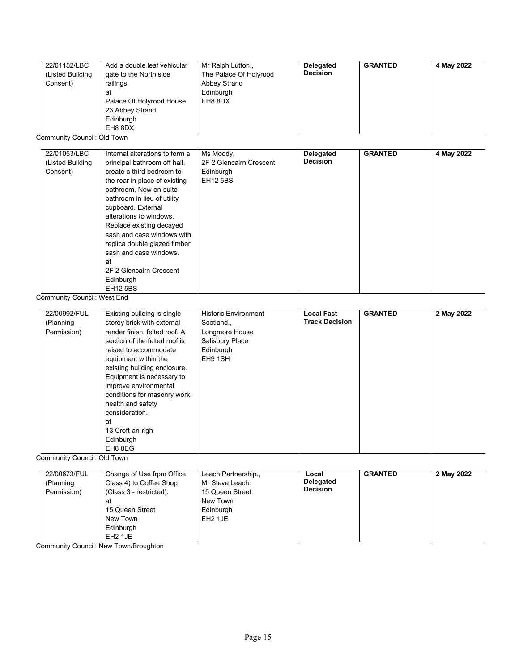| 22/01152/LBC<br>(Listed Building<br>Consent) | Add a double leaf vehicular<br>gate to the North side<br>railings.<br>at<br>Palace Of Holyrood House<br>23 Abbey Strand<br>Edinburgh<br>EH8 8DX | Mr Ralph Lutton.,<br>The Palace Of Holyrood<br>Abbey Strand<br>Edinburgh<br>EH8 8DX | <b>Delegated</b><br><b>Decision</b> | <b>GRANTED</b> | 4 May 2022 |
|----------------------------------------------|-------------------------------------------------------------------------------------------------------------------------------------------------|-------------------------------------------------------------------------------------|-------------------------------------|----------------|------------|
|----------------------------------------------|-------------------------------------------------------------------------------------------------------------------------------------------------|-------------------------------------------------------------------------------------|-------------------------------------|----------------|------------|

Community Council: Old Town

| 22/01053/LBC     | Internal alterations to form a | Ms Moody,               | Delegated       | <b>GRANTED</b> | 4 May 2022 |
|------------------|--------------------------------|-------------------------|-----------------|----------------|------------|
| (Listed Building | principal bathroom off hall,   | 2F 2 Glencairn Crescent | <b>Decision</b> |                |            |
| Consent)         | create a third bedroom to      | Edinburgh               |                 |                |            |
|                  | the rear in place of existing  | <b>EH12 5BS</b>         |                 |                |            |
|                  | bathroom. New en-suite         |                         |                 |                |            |
|                  | bathroom in lieu of utility    |                         |                 |                |            |
|                  | cupboard. External             |                         |                 |                |            |
|                  | alterations to windows.        |                         |                 |                |            |
|                  | Replace existing decayed       |                         |                 |                |            |
|                  | sash and case windows with     |                         |                 |                |            |
|                  | replica double glazed timber   |                         |                 |                |            |
|                  | sash and case windows.         |                         |                 |                |            |
|                  | at                             |                         |                 |                |            |
|                  | 2F 2 Glencairn Crescent        |                         |                 |                |            |
|                  | Edinburgh                      |                         |                 |                |            |
|                  | <b>EH12 5BS</b>                |                         |                 |                |            |

Community Council: West End

| 22/00992/FUL | Existing building is single   | <b>Historic Environment</b> | <b>Local Fast</b>     | <b>GRANTED</b> | 2 May 2022 |
|--------------|-------------------------------|-----------------------------|-----------------------|----------------|------------|
| (Planning    | storey brick with external    | Scotland.,                  | <b>Track Decision</b> |                |            |
| Permission)  | render finish, felted roof. A | Longmore House              |                       |                |            |
|              | section of the felted roof is | Salisbury Place             |                       |                |            |
|              | raised to accommodate         | Edinburgh                   |                       |                |            |
|              | equipment within the          | EH9 1SH                     |                       |                |            |
|              | existing building enclosure.  |                             |                       |                |            |
|              | Equipment is necessary to     |                             |                       |                |            |
|              | improve environmental         |                             |                       |                |            |
|              | conditions for masonry work,  |                             |                       |                |            |
|              | health and safety             |                             |                       |                |            |
|              | consideration.                |                             |                       |                |            |
|              | at                            |                             |                       |                |            |
|              | 13 Croft-an-righ              |                             |                       |                |            |
|              | Edinburgh                     |                             |                       |                |            |
|              | EH8 8EG                       |                             |                       |                |            |

Community Council: Old Town

| 22/00673/FUL | Change of Use frpm Office | Leach Partnership., | Local            | <b>GRANTED</b> | 2 May 2022 |
|--------------|---------------------------|---------------------|------------------|----------------|------------|
| (Planning    | Class 4) to Coffee Shop   | Mr Steve Leach.     | <b>Delegated</b> |                |            |
| Permission)  | (Class 3 - restricted).   | 15 Queen Street     | <b>Decision</b>  |                |            |
|              | at                        | New Town            |                  |                |            |
|              | 15 Queen Street           | Edinburgh           |                  |                |            |
|              | New Town                  | EH <sub>2</sub> 1JE |                  |                |            |
|              | Edinburgh                 |                     |                  |                |            |
|              | EH <sub>2</sub> 1JE       |                     |                  |                |            |

Community Council: New Town/Broughton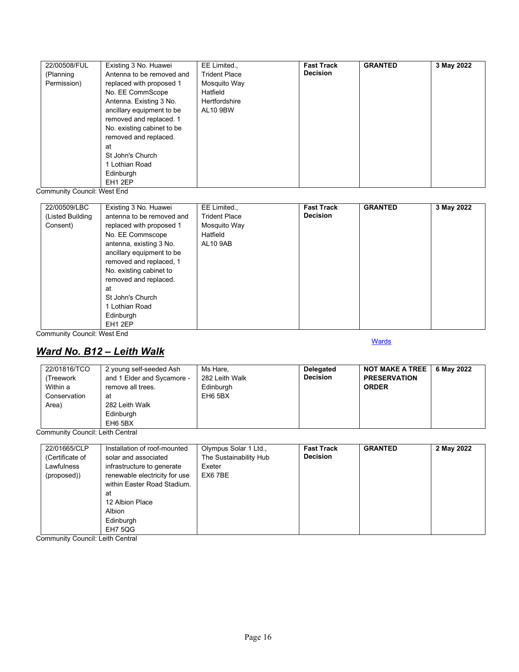| 22/00508/FUL | Existing 3 No. Huawei      | EE Limited.,         | <b>Fast Track</b> | <b>GRANTED</b> | 3 May 2022 |
|--------------|----------------------------|----------------------|-------------------|----------------|------------|
| (Planning    | Antenna to be removed and  | <b>Trident Place</b> | <b>Decision</b>   |                |            |
| Permission)  | replaced with proposed 1   | Mosquito Way         |                   |                |            |
|              | No. EE CommScope           | Hatfield             |                   |                |            |
|              | Antenna. Existing 3 No.    | Hertfordshire        |                   |                |            |
|              | ancillary equipment to be  | AL10 9BW             |                   |                |            |
|              | removed and replaced. 1    |                      |                   |                |            |
|              | No. existing cabinet to be |                      |                   |                |            |
|              | removed and replaced.      |                      |                   |                |            |
|              | at                         |                      |                   |                |            |
|              | St John's Church           |                      |                   |                |            |
|              | 1 Lothian Road             |                      |                   |                |            |
|              | Edinburgh                  |                      |                   |                |            |
|              | EH1 2EP                    |                      |                   |                |            |

Community Council: West End

| 22/00509/LBC     | Existing 3 No. Huawei     | EE Limited.,         | <b>Fast Track</b> | <b>GRANTED</b> | 3 May 2022 |
|------------------|---------------------------|----------------------|-------------------|----------------|------------|
| (Listed Building | antenna to be removed and | <b>Trident Place</b> | <b>Decision</b>   |                |            |
| Consent)         | replaced with proposed 1  | Mosquito Way         |                   |                |            |
|                  | No. EE Commscope          | Hatfield             |                   |                |            |
|                  | antenna, existing 3 No.   | <b>AL10 9AB</b>      |                   |                |            |
|                  | ancillary equipment to be |                      |                   |                |            |
|                  | removed and replaced, 1   |                      |                   |                |            |
|                  | No. existing cabinet to   |                      |                   |                |            |
|                  | removed and replaced.     |                      |                   |                |            |
|                  | at                        |                      |                   |                |            |
|                  | St John's Church          |                      |                   |                |            |
|                  | 1 Lothian Road            |                      |                   |                |            |
|                  | Edinburgh                 |                      |                   |                |            |
|                  | EH <sub>1</sub> 2EP       |                      |                   |                |            |

Community Council: West End

# <span id="page-15-0"></span>*Ward No. B12 – Leith Walk*

## **[Wards](#page-0-0)**

| 22/01816/TCO<br>(Treework<br>Within a<br>Conservation<br>Area) | 2 young self-seeded Ash<br>and 1 Elder and Sycamore -<br>remove all trees.<br>at<br>282 Leith Walk<br>Edinburgh<br>EH6 5BX | Ms Hare.<br>282 Leith Walk<br>Edinburgh<br>EH6 5BX | Delegated<br><b>Decision</b> | <b>NOT MAKE A TREE</b><br><b>PRESERVATION</b><br><b>ORDER</b> | 6 May 2022 |
|----------------------------------------------------------------|----------------------------------------------------------------------------------------------------------------------------|----------------------------------------------------|------------------------------|---------------------------------------------------------------|------------|
|----------------------------------------------------------------|----------------------------------------------------------------------------------------------------------------------------|----------------------------------------------------|------------------------------|---------------------------------------------------------------|------------|

Community Council: Leith Central

| 22/01665/CLP<br>(Certificate of<br>Lawfulness<br>(proposed)) | Installation of roof-mounted<br>solar and associated<br>infrastructure to generate<br>renewable electricity for use<br>within Easter Road Stadium.<br>at<br>12 Albion Place<br>Albion<br>Edinburgh | Olympus Solar 1 Ltd.,<br>The Sustainability Hub<br>Exeter<br>EX6 7BE | <b>Fast Track</b><br><b>Decision</b> | <b>GRANTED</b> | 2 May 2022 |
|--------------------------------------------------------------|----------------------------------------------------------------------------------------------------------------------------------------------------------------------------------------------------|----------------------------------------------------------------------|--------------------------------------|----------------|------------|
|                                                              | EH7 5QG                                                                                                                                                                                            |                                                                      |                                      |                |            |

Community Council: Leith Central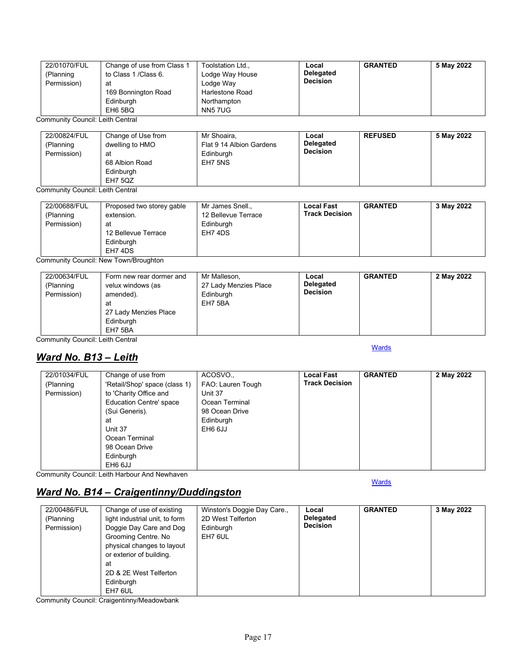| 22/01070/FUL | Change of use from Class 1 | Toolstation Ltd., | Local            | <b>GRANTED</b> | 5 May 2022 |
|--------------|----------------------------|-------------------|------------------|----------------|------------|
| (Planning    | to Class 1/Class 6.        | Lodge Way House   | <b>Delegated</b> |                |            |
| Permission)  | at                         | Lodge Way         | <b>Decision</b>  |                |            |
|              | 169 Bonnington Road        | Harlestone Road   |                  |                |            |
|              | Edinburgh                  | Northampton       |                  |                |            |
|              | EH6 5BQ                    | NN5 7UG           |                  |                |            |

Community Council: Leith Central

| 22/00824/FUL<br>(Planning<br>Permission) | Change of Use from<br>dwelling to HMO<br>at<br>68 Albion Road | Mr Shoaira.<br>Flat 9 14 Albion Gardens<br>Edinburgh<br>EH7 5NS | Local<br>Delegated<br><b>Decision</b> | <b>REFUSED</b> | 5 May 2022 |
|------------------------------------------|---------------------------------------------------------------|-----------------------------------------------------------------|---------------------------------------|----------------|------------|
|                                          | Edinburgh<br><b>EH7 5QZ</b>                                   |                                                                 |                                       |                |            |

Community Council: Leith Central

| 22/00688/FUL<br>(Planning<br>Permission) | Proposed two storey gable<br>extension.<br>at<br>12 Bellevue Terrace<br>Edinburgh<br>EH7 4DS | Mr James Snell.,<br>12 Bellevue Terrace<br>Edinburgh<br>EH7 4DS | <b>Local Fast</b><br><b>Track Decision</b> | <b>GRANTED</b> | 3 May 2022 |
|------------------------------------------|----------------------------------------------------------------------------------------------|-----------------------------------------------------------------|--------------------------------------------|----------------|------------|
|------------------------------------------|----------------------------------------------------------------------------------------------|-----------------------------------------------------------------|--------------------------------------------|----------------|------------|

Community Council: New Town/Broughton

| 22/00634/FUL<br>(Planning<br>Permission) | Form new rear dormer and<br>velux windows (as<br>amended).<br>at<br>27 Lady Menzies Place<br>Edinburgh<br>EH7 5BA | Mr Malleson,<br>27 Lady Menzies Place<br>Edinburgh<br>EH7 5BA | Local<br>Delegated<br><b>Decision</b> | <b>GRANTED</b> | 2 May 2022 |
|------------------------------------------|-------------------------------------------------------------------------------------------------------------------|---------------------------------------------------------------|---------------------------------------|----------------|------------|
|------------------------------------------|-------------------------------------------------------------------------------------------------------------------|---------------------------------------------------------------|---------------------------------------|----------------|------------|

Community Council: Leith Central

# <span id="page-16-0"></span>*Ward No. B13 – Leith*

### **[Wards](#page-0-0)**

| 22/01034/FUL | Change of use from             | ACOSVO.,          | <b>Local Fast</b>     | <b>GRANTED</b> | 2 May 2022 |
|--------------|--------------------------------|-------------------|-----------------------|----------------|------------|
| (Planning    | 'Retail/Shop' space (class 1)  | FAO: Lauren Tough | <b>Track Decision</b> |                |            |
| Permission)  | to 'Charity Office and         | Unit 37           |                       |                |            |
|              | <b>Education Centre' space</b> | Ocean Terminal    |                       |                |            |
|              | (Sui Generis).                 | 98 Ocean Drive    |                       |                |            |
|              | at                             | Edinburgh         |                       |                |            |
|              | Unit 37                        | EH6 6JJ           |                       |                |            |
|              | Ocean Terminal                 |                   |                       |                |            |
|              | 98 Ocean Drive                 |                   |                       |                |            |
|              | Edinburgh                      |                   |                       |                |            |
|              | EH6 6JJ                        |                   |                       |                |            |

Community Council: Leith Harbour And Newhaven

#### **[Wards](#page-0-0)**

# <span id="page-16-1"></span>*Ward No. B14 – Craigentinny/Duddingston*

| 22/00486/FUL<br>(Planning<br>Permission) | Change of use of existing<br>light industrial unit, to form<br>Doggie Day Care and Dog<br>Grooming Centre. No<br>physical changes to layout<br>or exterior of building.<br>at | Winston's Doggie Day Care.,<br>2D West Telferton<br>Edinburgh<br>EH7 6UL | Local<br>Delegated<br><b>Decision</b> | <b>GRANTED</b> | 3 May 2022 |
|------------------------------------------|-------------------------------------------------------------------------------------------------------------------------------------------------------------------------------|--------------------------------------------------------------------------|---------------------------------------|----------------|------------|
|                                          | 2D & 2E West Telferton<br>Edinburgh<br>EH7 6UL                                                                                                                                |                                                                          |                                       |                |            |

Community Council: Craigentinny/Meadowbank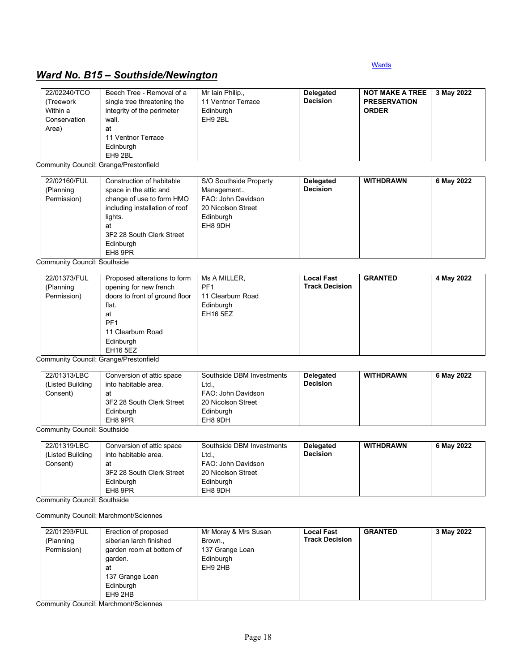# <span id="page-17-0"></span>*Ward No. B15 – Southside/Newington*

| 22/02240/TCO                 | Beech Tree - Removal of a              | Mr Iain Philip.,          | <b>Delegated</b>      | <b>NOT MAKE A TREE</b> | 3 May 2022 |
|------------------------------|----------------------------------------|---------------------------|-----------------------|------------------------|------------|
| (Treework                    | single tree threatening the            | 11 Ventnor Terrace        | <b>Decision</b>       | <b>PRESERVATION</b>    |            |
| Within a                     | integrity of the perimeter             | Edinburgh                 |                       | <b>ORDER</b>           |            |
| Conservation                 | wall.                                  | EH9 2BL                   |                       |                        |            |
| Area)                        | at                                     |                           |                       |                        |            |
|                              | 11 Ventnor Terrace                     |                           |                       |                        |            |
|                              | Edinburgh                              |                           |                       |                        |            |
|                              | EH9 2BL                                |                           |                       |                        |            |
|                              | Community Council: Grange/Prestonfield |                           |                       |                        |            |
| 22/02160/FUL                 | Construction of habitable              | S/O Southside Property    | Delegated             | <b>WITHDRAWN</b>       | 6 May 2022 |
| (Planning                    | space in the attic and                 | Management.,              | <b>Decision</b>       |                        |            |
| Permission)                  | change of use to form HMO              | FAO: John Davidson        |                       |                        |            |
|                              | including installation of roof         | 20 Nicolson Street        |                       |                        |            |
|                              | lights.                                | Edinburgh                 |                       |                        |            |
|                              | at                                     | EH8 9DH                   |                       |                        |            |
|                              | 3F2 28 South Clerk Street              |                           |                       |                        |            |
|                              | Edinburgh                              |                           |                       |                        |            |
|                              | EH8 9PR                                |                           |                       |                        |            |
| Community Council: Southside |                                        |                           |                       |                        |            |
| 22/01373/FUL                 | Proposed alterations to form           | Ms A MILLER,              | <b>Local Fast</b>     | <b>GRANTED</b>         | 4 May 2022 |
| (Planning                    | opening for new french                 | PF <sub>1</sub>           | <b>Track Decision</b> |                        |            |
| Permission)                  | doors to front of ground floor         | 11 Clearburn Road         |                       |                        |            |
|                              | flat.                                  | Edinburgh                 |                       |                        |            |
|                              | at                                     | <b>EH16 5EZ</b>           |                       |                        |            |
|                              | PF <sub>1</sub>                        |                           |                       |                        |            |
|                              | 11 Clearburn Road                      |                           |                       |                        |            |
|                              | Edinburgh                              |                           |                       |                        |            |
|                              | <b>EH16 5EZ</b>                        |                           |                       |                        |            |
|                              | Community Council: Grange/Prestonfield |                           |                       |                        |            |
|                              |                                        |                           |                       |                        |            |
| 22/01313/LBC                 | Conversion of attic space              | Southside DBM Investments | <b>Delegated</b>      | <b>WITHDRAWN</b>       | 6 May 2022 |
| (Listed Building             | into habitable area.                   | Ltd.                      | <b>Decision</b>       |                        |            |
| Consent)                     | at                                     | FAO: John Davidson        |                       |                        |            |
|                              | 3F2 28 South Clerk Street              | 20 Nicolson Street        |                       |                        |            |
|                              | Edinburgh                              | Edinburgh                 |                       |                        |            |
|                              | EH8 9PR                                | EH8 9DH                   |                       |                        |            |
| Community Council: Southside |                                        |                           |                       |                        |            |
| 22/01319/LBC                 | Conversion of attic space              | Southside DBM Investments | <b>Delegated</b>      | <b>WITHDRAWN</b>       | 6 May 2022 |
| (Listed Building             | into habitable area.                   | Ltd                       | <b>Decision</b>       |                        |            |
| Consent)                     | at                                     | FAO: John Davidson        |                       |                        |            |
|                              | 3F2 28 South Clerk Street              | 20 Nicolson Street        |                       |                        |            |

Community Council: Southside

Community Council: Marchmont/Sciennes

Edinburgh EH8 9PR

| 22/01293/FUL | Erection of proposed     | Mr Moray & Mrs Susan | <b>Local Fast</b>     | <b>GRANTED</b> | 3 May 2022 |
|--------------|--------------------------|----------------------|-----------------------|----------------|------------|
| (Planning    | siberian larch finished  | Brown                | <b>Track Decision</b> |                |            |
| Permission)  | garden room at bottom of | 137 Grange Loan      |                       |                |            |
|              | garden.                  | Edinburgh            |                       |                |            |
|              | at                       | EH9 2HB              |                       |                |            |
|              | 137 Grange Loan          |                      |                       |                |            |
|              | Edinburgh                |                      |                       |                |            |
|              | EH9 2HB                  |                      |                       |                |            |

Edinburgh EH8 9DH

Community Council: Marchmont/Sciennes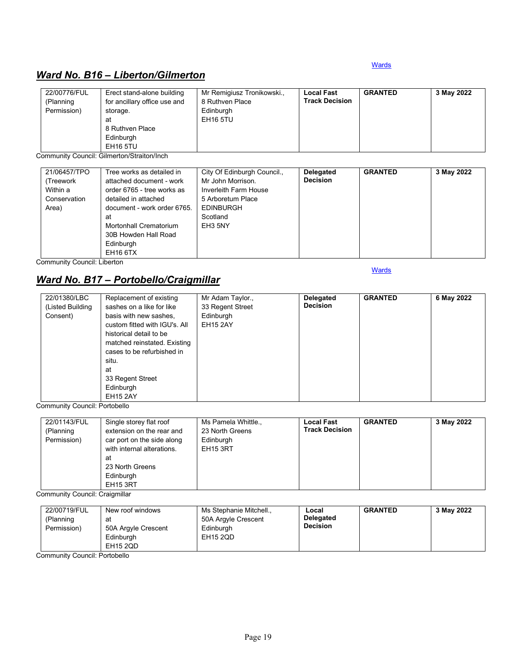**[Wards](#page-0-0)** 

# <span id="page-18-0"></span>*Ward No. B16 – Liberton/Gilmerton*

| 22/00776/FUL<br>(Planning | Erect stand-alone building<br>for ancillary office use and | Mr Remigiusz Tronikowski.,<br>8 Ruthven Place | <b>Local Fast</b><br><b>Track Decision</b> | <b>GRANTED</b> | 3 May 2022 |
|---------------------------|------------------------------------------------------------|-----------------------------------------------|--------------------------------------------|----------------|------------|
|                           |                                                            |                                               |                                            |                |            |
| Permission)               | storage.                                                   | Edinburgh                                     |                                            |                |            |
|                           | at                                                         | EH <sub>16</sub> 5TU                          |                                            |                |            |
|                           | 8 Ruthven Place                                            |                                               |                                            |                |            |
|                           | Edinburgh                                                  |                                               |                                            |                |            |
|                           | EH16 5TU                                                   |                                               |                                            |                |            |

Community Council: Gilmerton/Straiton/Inch

| 21/06457/TPO | Tree works as detailed in   | City Of Edinburgh Council., | <b>Delegated</b> | <b>GRANTED</b> | 3 May 2022 |
|--------------|-----------------------------|-----------------------------|------------------|----------------|------------|
| (Treework)   | attached document - work    | Mr John Morrison.           | <b>Decision</b>  |                |            |
| Within a     | order 6765 - tree works as  | Inverleith Farm House       |                  |                |            |
| Conservation | detailed in attached        | 5 Arboretum Place           |                  |                |            |
| Area)        | document - work order 6765. | <b>EDINBURGH</b>            |                  |                |            |
|              | at                          | Scotland                    |                  |                |            |
|              | Mortonhall Crematorium      | EH3 5NY                     |                  |                |            |
|              | 30B Howden Hall Road        |                             |                  |                |            |
|              | Edinburgh                   |                             |                  |                |            |
|              | EH16 6TX                    |                             |                  |                |            |

Community Council: Liberton

# <span id="page-18-1"></span>*Ward No. B17 – Portobello/Craigmillar*

| 22/01380/LBC<br>(Listed Building<br>Consent) | Replacement of existing<br>sashes on a like for like<br>basis with new sashes,<br>custom fitted with IGU's. All | Mr Adam Taylor.,<br>33 Regent Street<br>Edinburgh<br><b>EH15 2AY</b> | Delegated<br><b>Decision</b> | <b>GRANTED</b> | 6 May 2022 |
|----------------------------------------------|-----------------------------------------------------------------------------------------------------------------|----------------------------------------------------------------------|------------------------------|----------------|------------|
|                                              | historical detail to be<br>matched reinstated. Existing<br>cases to be refurbished in<br>situ.<br>at            |                                                                      |                              |                |            |
|                                              | 33 Regent Street<br>Edinburgh<br><b>EH15 2AY</b>                                                                |                                                                      |                              |                |            |

Community Council: Portobello

| 22/01143/FUL<br>(Planning<br>Permission) | Single storey flat roof<br>extension on the rear and<br>car port on the side along<br>with internal alterations.<br>at<br>23 North Greens<br>Edinburgh<br><b>EH15 3RT</b> | Ms Pamela Whittle.,<br>23 North Greens<br>Edinburgh<br><b>EH15 3RT</b> | <b>Local Fast</b><br><b>Track Decision</b> | <b>GRANTED</b> | 3 May 2022 |
|------------------------------------------|---------------------------------------------------------------------------------------------------------------------------------------------------------------------------|------------------------------------------------------------------------|--------------------------------------------|----------------|------------|
|------------------------------------------|---------------------------------------------------------------------------------------------------------------------------------------------------------------------------|------------------------------------------------------------------------|--------------------------------------------|----------------|------------|

Community Council: Craigmillar

| 22/00719/FUL<br>(Planning<br>Permission) | New roof windows<br>at<br>50A Argyle Crescent<br>Edinburgh<br>EH15 2QD | Ms Stephanie Mitchell.<br>50A Argyle Crescent<br>Edinburgh<br>EH15 2QD | Local<br><b>Delegated</b><br><b>Decision</b> | <b>GRANTED</b> | 3 May 2022 |
|------------------------------------------|------------------------------------------------------------------------|------------------------------------------------------------------------|----------------------------------------------|----------------|------------|
|------------------------------------------|------------------------------------------------------------------------|------------------------------------------------------------------------|----------------------------------------------|----------------|------------|

Community Council: Portobello